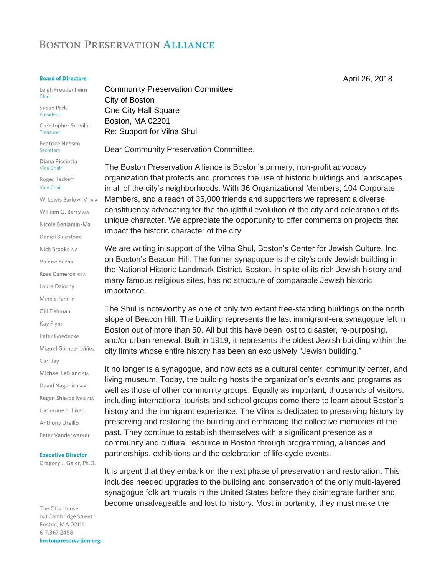## **BOSTON PRESERVATION ALLIANCE**

## **Board of Directors**

Leigh Freudenheim Chair

Susan Park President

Christopher Scoville Treasurer

**Beatrice Nessen** Secretary

Diana Pisciotta **Vice Chair** 

Roger Tackeff Vice Chair

W. Lewis Barlow IV FAIA

William G. Barry AIA

Nicole Benjamin-Ma

Daniel Bluestone

Nick Brooks AIA

Valerie Burns

Ross Cameron RIBA

Laura Dziorny

Minxie Fannin

Gill Fishman

Kay Flynn

Peter Goedecke

Miguel Gómez-Ibáñez

Carl Jay

Michael LeBlanc AIA

David Nagahiro AIA

Regan Shields Ives AIA

Catharine Sullivan

Anthony Ursillo

Peter Vanderwarker

**Executive Director** 

Gregory J. Galer, Ph.D.

The Otis House 141 Cambridge Street Boston, MA 02114 617.367.2458 bostonpreservation.org **Community Preservation Committee** City of Boston One City Hall Square Boston, MA 02201 Re: Support for Vilna Shul

Dear Community Preservation Committee,

The Boston Preservation Alliance is Boston's primary, non-profit advocacy organization that protects and promotes the use of historic buildings and landscapes in all of the city's neighborhoods. With 36 Organizational Members, 104 Corporate Members, and a reach of 35,000 friends and supporters we represent a diverse constituency advocating for the thoughtful evolution of the city and celebration of its unique character. We appreciate the opportunity to offer comments on projects that impact the historic character of the city.

We are writing in support of the Vilna Shul, Boston's Center for Jewish Culture, Inc. on Boston's Beacon Hill. The former synagogue is the city's only Jewish building in the National Historic Landmark District. Boston, in spite of its rich Jewish history and many famous religious sites, has no structure of comparable Jewish historic importance.

The Shul is noteworthy as one of only two extant free-standing buildings on the north slope of Beacon Hill. The building represents the last immigrant-era synagogue left in Boston out of more than 50. All but this have been lost to disaster, re-purposing, and/or urban renewal. Built in 1919, it represents the oldest Jewish building within the city limits whose entire history has been an exclusively "Jewish building."

It no longer is a synagogue, and now acts as a cultural center, community center, and living museum. Today, the building hosts the organization's events and programs as well as those of other community groups. Equally as important, thousands of visitors, including international tourists and school groups come there to learn about Boston's history and the immigrant experience. The Vilna is dedicated to preserving history by preserving and restoring the building and embracing the collective memories of the past. They continue to establish themselves with a significant presence as a community and cultural resource in Boston through programming, alliances and partnerships, exhibitions and the celebration of life-cycle events.

It is urgent that they embark on the next phase of preservation and restoration. This includes needed upgrades to the building and conservation of the only multi-layered synagogue folk art murals in the United States before they disintegrate further and become unsalvageable and lost to history. Most importantly, they must make the

April 26, 2018